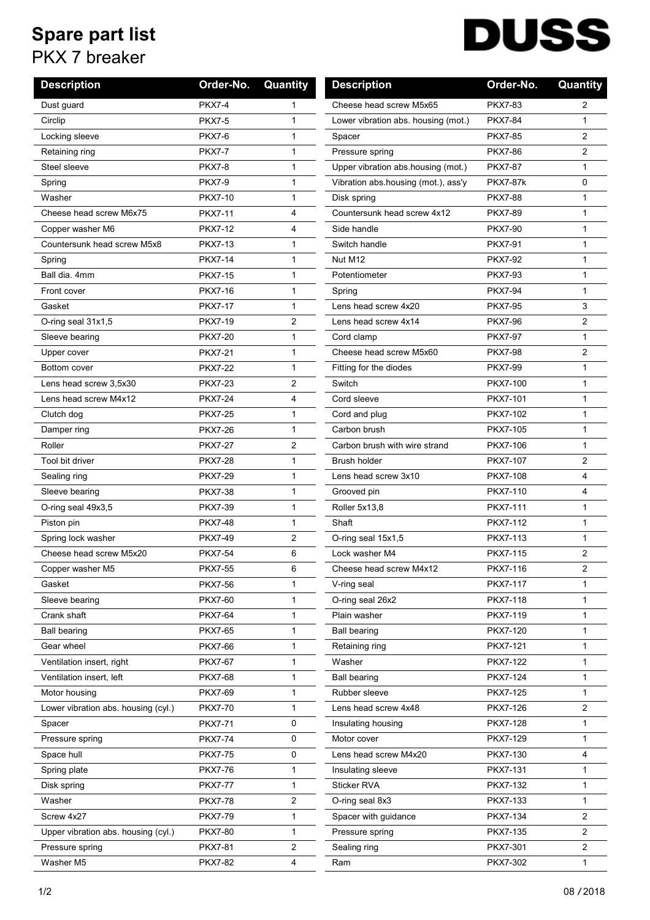## **Spare part list**

PKX 7 breaker

## **DUSS**

| <b>Description</b>                  | Order-No.      | Quantity       | <b>Description</b>                  | Order-No.       | Quantity         |
|-------------------------------------|----------------|----------------|-------------------------------------|-----------------|------------------|
| Dust quard                          | <b>PKX7-4</b>  | 1              | Cheese head screw M5x65             | <b>PKX7-83</b>  | 2                |
| Circlip                             | <b>PKX7-5</b>  | 1              | Lower vibration abs. housing (mot.) | <b>PKX7-84</b>  | 1                |
| Locking sleeve                      | <b>PKX7-6</b>  | 1              | Spacer                              | <b>PKX7-85</b>  | 2                |
| Retaining ring                      | <b>PKX7-7</b>  | 1              | Pressure spring                     | <b>PKX7-86</b>  | $\overline{2}$   |
| Steel sleeve                        | <b>PKX7-8</b>  | $\mathbf{1}$   | Upper vibration abs housing (mot.)  | <b>PKX7-87</b>  | 1                |
| Spring                              | <b>PKX7-9</b>  | 1              | Vibration abs.housing (mot.), ass'y | <b>PKX7-87k</b> | 0                |
| Washer                              | <b>PKX7-10</b> | $\mathbf{1}$   | Disk spring                         | <b>PKX7-88</b>  | 1                |
| Cheese head screw M6x75             | <b>PKX7-11</b> | 4              | Countersunk head screw 4x12         | <b>PKX7-89</b>  | $\mathbf{1}$     |
| Copper washer M6                    | <b>PKX7-12</b> | 4              | Side handle                         | <b>PKX7-90</b>  | $\mathbf{1}$     |
| Countersunk head screw M5x8         | <b>PKX7-13</b> | 1              | Switch handle                       | <b>PKX7-91</b>  | $\mathbf{1}$     |
| Spring                              | <b>PKX7-14</b> | 1              | Nut M12                             | <b>PKX7-92</b>  | $\mathbf{1}$     |
| Ball dia. 4mm                       | <b>PKX7-15</b> | $\mathbf{1}$   | Potentiometer                       | <b>PKX7-93</b>  | $\mathbf{1}$     |
| Front cover                         | <b>PKX7-16</b> | 1              | Spring                              | <b>PKX7-94</b>  | 1                |
| Gasket                              | <b>PKX7-17</b> | 1              | Lens head screw 4x20                | <b>PKX7-95</b>  | 3                |
| O-ring seal 31x1,5                  | <b>PKX7-19</b> | 2              | Lens head screw 4x14                | <b>PKX7-96</b>  | $\overline{2}$   |
| Sleeve bearing                      | <b>PKX7-20</b> | 1              | Cord clamp                          | <b>PKX7-97</b>  | 1                |
| Upper cover                         | <b>PKX7-21</b> | $\mathbf{1}$   | Cheese head screw M5x60             | <b>PKX7-98</b>  | $\overline{2}$   |
| Bottom cover                        | <b>PKX7-22</b> | 1              | Fitting for the diodes              | <b>PKX7-99</b>  | $\mathbf{1}$     |
| Lens head screw 3,5x30              | <b>PKX7-23</b> | 2              | Switch                              | PKX7-100        | $\mathbf{1}$     |
| Lens head screw M4x12               | <b>PKX7-24</b> | 4              | Cord sleeve                         | PKX7-101        | 1                |
| Clutch dog                          | <b>PKX7-25</b> | 1              | Cord and plug                       | PKX7-102        | 1                |
| Damper ring                         | <b>PKX7-26</b> | 1              | Carbon brush                        | PKX7-105        | 1                |
| Roller                              | <b>PKX7-27</b> | 2              | Carbon brush with wire strand       | PKX7-106        | 1                |
| Tool bit driver                     | <b>PKX7-28</b> | 1              | <b>Brush holder</b>                 | PKX7-107        | $\overline{2}$   |
| Sealing ring                        | <b>PKX7-29</b> | 1              | Lens head screw 3x10                | PKX7-108        | 4                |
| Sleeve bearing                      | <b>PKX7-38</b> | 1              | Grooved pin                         | PKX7-110        | 4                |
| O-ring seal 49x3,5                  | <b>PKX7-39</b> | 1              | Roller 5x13,8                       | PKX7-111        | 1                |
| Piston pin                          | <b>PKX7-48</b> | 1              | Shaft                               | PKX7-112        | $\mathbf{1}$     |
| Spring lock washer                  | <b>PKX7-49</b> | 2              | O-ring seal 15x1,5                  | PKX7-113        | 1                |
| Cheese head screw M5x20             | <b>PKX7-54</b> | 6              | Lock washer M4                      | PKX7-115        | 2                |
| Copper washer M5                    | <b>PKX7-55</b> | 6              | Cheese head screw M4x12             | PKX7-116        | $\boldsymbol{2}$ |
| Gasket                              | <b>PKX7-56</b> | 1              | V-ring seal                         | PKX7-117        | 1                |
| Sleeve bearing                      | <b>PKX7-60</b> | 1              | O-ring seal 26x2                    | PKX7-118        | 1                |
| Crank shaft                         | <b>PKX7-64</b> | 1              | Plain washer                        | PKX7-119        | 1                |
| <b>Ball bearing</b>                 | <b>PKX7-65</b> | 1              | <b>Ball bearing</b>                 | PKX7-120        | 1                |
| Gear wheel                          | <b>PKX7-66</b> | 1              | Retaining ring                      | PKX7-121        | 1                |
| Ventilation insert, right           | <b>PKX7-67</b> | 1              | Washer                              | PKX7-122        | 1                |
| Ventilation insert, left            | <b>PKX7-68</b> | 1              | <b>Ball bearing</b>                 | PKX7-124        | 1                |
| Motor housing                       | <b>PKX7-69</b> | 1              | Rubber sleeve                       | <b>PKX7-125</b> | 1                |
| Lower vibration abs. housing (cyl.) | <b>PKX7-70</b> | 1              | Lens head screw 4x48                | PKX7-126        | 2                |
| Spacer                              | <b>PKX7-71</b> | $\pmb{0}$      | Insulating housing                  | PKX7-128        | $\mathbf{1}$     |
| Pressure spring                     | <b>PKX7-74</b> | 0              | Motor cover                         | PKX7-129        | 1                |
| Space hull                          | <b>PKX7-75</b> | 0              | Lens head screw M4x20               | PKX7-130        | 4                |
| Spring plate                        | <b>PKX7-76</b> | 1              | Insulating sleeve                   | PKX7-131        | 1                |
| Disk spring                         | <b>PKX7-77</b> | 1              | <b>Sticker RVA</b>                  | PKX7-132        | 1                |
| Washer                              | <b>PKX7-78</b> | $\overline{c}$ | O-ring seal 8x3                     | PKX7-133        | 1                |
| Screw 4x27                          | <b>PKX7-79</b> | 1              | Spacer with guidance                | PKX7-134        | 2                |
| Upper vibration abs. housing (cyl.) | <b>PKX7-80</b> | 1              | Pressure spring                     | PKX7-135        | $\overline{2}$   |
| Pressure spring                     | <b>PKX7-81</b> | 2              | Sealing ring                        | PKX7-301        | $\overline{2}$   |
| Washer M5                           | <b>PKX7-82</b> | 4              | Ram                                 | PKX7-302        | $\mathbf{1}$     |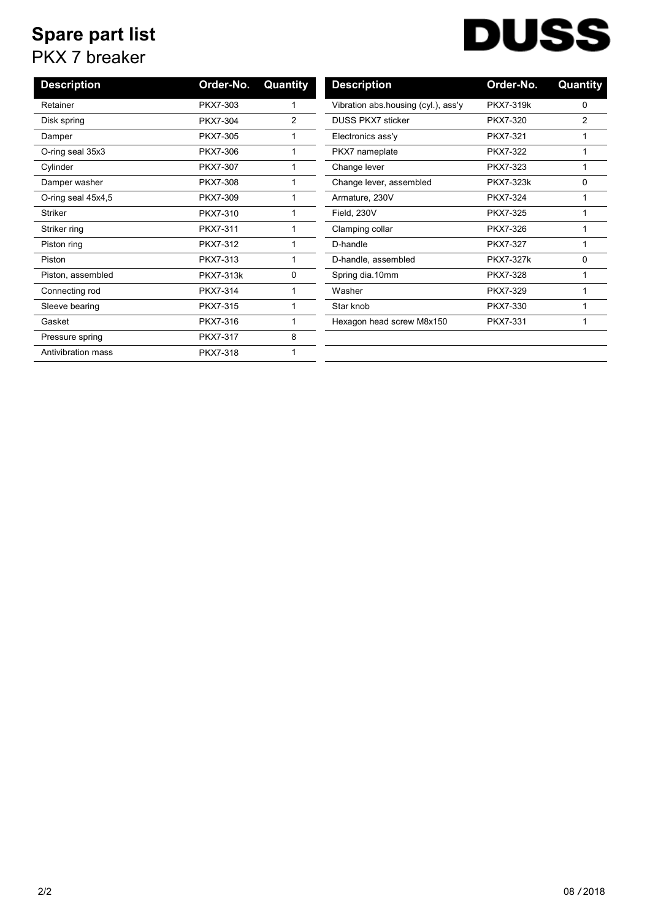## **Spare part list**

## PKX 7 breaker

| DUSS |
|------|
|      |

| <b>Description</b> | Order-No.       | Quantity | <b>Description</b>                  | Order-No.        | Quant |
|--------------------|-----------------|----------|-------------------------------------|------------------|-------|
| Retainer           | PKX7-303        |          | Vibration abs housing (cyl.), ass'y | PKX7-319k        | 0     |
| Disk spring        | PKX7-304        | 2        | <b>DUSS PKX7 sticker</b>            | PKX7-320         | 2     |
| Damper             | PKX7-305        |          | Electronics ass'y                   | PKX7-321         | 1     |
| O-ring seal 35x3   | PKX7-306        |          | PKX7 nameplate                      | PKX7-322         | 1     |
| Cylinder           | <b>PKX7-307</b> |          | Change lever                        | PKX7-323         | 1     |
| Damper washer      | PKX7-308        |          | Change lever, assembled             | PKX7-323k        | 0     |
| O-ring seal 45x4,5 | PKX7-309        |          | Armature, 230V                      | PKX7-324         | 1     |
| <b>Striker</b>     | PKX7-310        |          | Field, 230V                         | PKX7-325         | 1     |
| Striker ring       | PKX7-311        |          | Clamping collar                     | PKX7-326         | 1     |
| Piston ring        | PKX7-312        |          | D-handle                            | PKX7-327         | 1     |
| Piston             | PKX7-313        | 1        | D-handle, assembled                 | <b>PKX7-327k</b> | 0     |
| Piston, assembled  | PKX7-313k       | 0        | Spring dia.10mm                     | PKX7-328         | 1     |
| Connecting rod     | PKX7-314        |          | Washer                              | PKX7-329         | 1     |
| Sleeve bearing     | PKX7-315        |          | Star knob                           | PKX7-330         | 1     |
| Gasket             | PKX7-316        |          | Hexagon head screw M8x150           | PKX7-331         |       |
| Pressure spring    | PKX7-317        | 8        |                                     |                  |       |
| Antivibration mass | PKX7-318        |          |                                     |                  |       |

| <b>Description</b>                  | Order-No. | Quantity      |
|-------------------------------------|-----------|---------------|
| Vibration abs.housing (cyl.), ass'y | PKX7-319k | 0             |
| DUSS PKX7 sticker                   | PKX7-320  | $\mathcal{P}$ |
| Electronics ass'y                   | PKX7-321  | 1             |
| PKX7 nameplate                      | PKX7-322  | 1             |
| Change lever                        | PKX7-323  | 1             |
| Change lever, assembled             | PKX7-323k | 0             |
| Armature, 230V                      | PKX7-324  | 1             |
| Field, 230V                         | PKX7-325  | 1             |
| Clamping collar                     | PKX7-326  | 1             |
| D-handle                            | PKX7-327  | 1             |
| D-handle, assembled                 | PKX7-327k | 0             |
| Spring dia.10mm                     | PKX7-328  | 1             |
| Washer                              | PKX7-329  | 1             |
| Star knob                           | PKX7-330  | 1             |
| Hexagon head screw M8x150           | PKX7-331  | 1             |
|                                     |           |               |